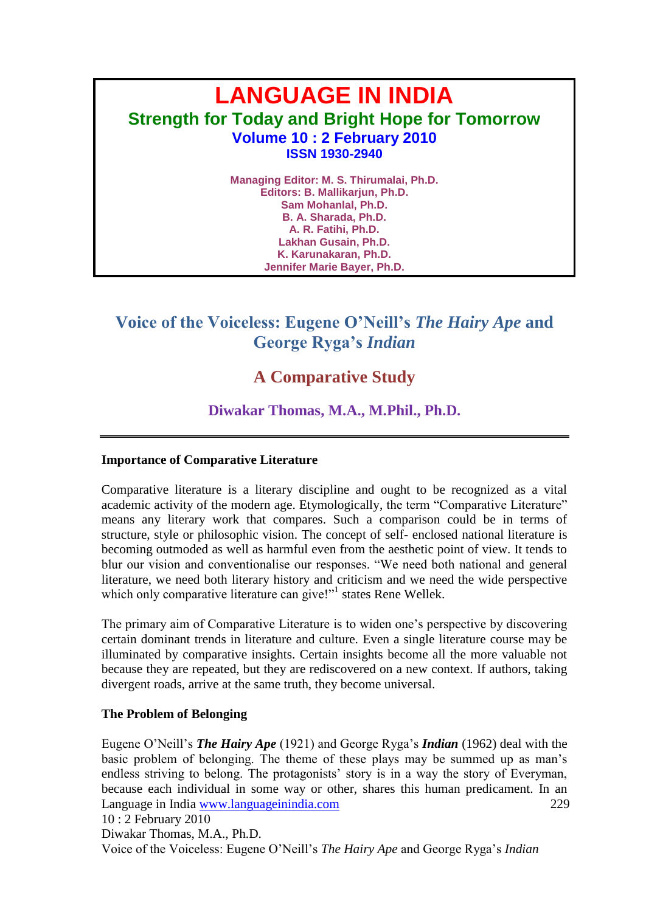# **LANGUAGE IN INDIA Strength for Today and Bright Hope for Tomorrow Volume 10 : 2 February 2010 ISSN 1930-2940 Managing Editor: M. S. Thirumalai, Ph.D.**

**Editors: B. Mallikarjun, Ph.D. Sam Mohanlal, Ph.D. B. A. Sharada, Ph.D. A. R. Fatihi, Ph.D. Lakhan Gusain, Ph.D. K. Karunakaran, Ph.D. Jennifer Marie Bayer, Ph.D.**

# **Voice of the Voiceless: Eugene O'Neill's** *The Hairy Ape* **and George Ryga's** *Indian*

## **A Comparative Study**

### **Diwakar Thomas, M.A., M.Phil., Ph.D.**

#### **Importance of Comparative Literature**

Comparative literature is a literary discipline and ought to be recognized as a vital academic activity of the modern age. Etymologically, the term "Comparative Literature" means any literary work that compares. Such a comparison could be in terms of structure, style or philosophic vision. The concept of self- enclosed national literature is becoming outmoded as well as harmful even from the aesthetic point of view. It tends to blur our vision and conventionalise our responses. "We need both national and general literature, we need both literary history and criticism and we need the wide perspective which only comparative literature can give!"<sup>1</sup> states Rene Wellek.

The primary aim of Comparative Literature is to widen one"s perspective by discovering certain dominant trends in literature and culture. Even a single literature course may be illuminated by comparative insights. Certain insights become all the more valuable not because they are repeated, but they are rediscovered on a new context. If authors, taking divergent roads, arrive at the same truth, they become universal.

#### **The Problem of Belonging**

Language in India www.languageinindia.com 229 10 : 2 February 2010 Eugene O"Neill"s *The Hairy Ape* (1921) and George Ryga"s *Indian* (1962) deal with the basic problem of belonging. The theme of these plays may be summed up as man"s endless striving to belong. The protagonists' story is in a way the story of Everyman, because each individual in some way or other, shares this human predicament. In an

Diwakar Thomas, M.A., Ph.D. Voice of the Voiceless: Eugene O"Neill"s *The Hairy Ape* and George Ryga"s *Indian*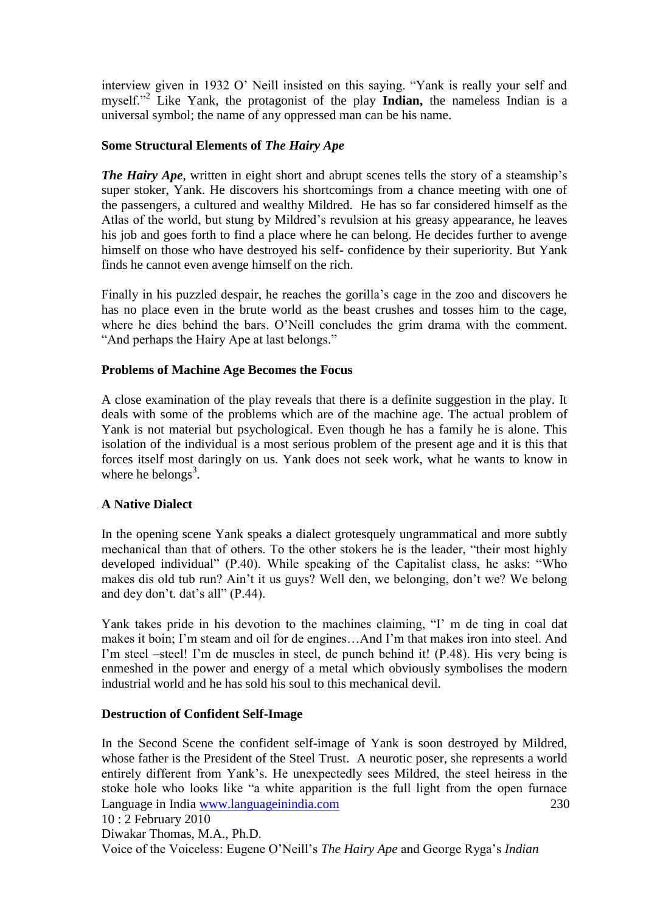interview given in 1932 O' Neill insisted on this saying. "Yank is really your self and myself."<sup>2</sup> Like Yank, the protagonist of the play **Indian,** the nameless Indian is a universal symbol; the name of any oppressed man can be his name.

#### **Some Structural Elements of** *The Hairy Ape*

*The Hairy Ape*, written in eight short and abrupt scenes tells the story of a steamship's super stoker, Yank. He discovers his shortcomings from a chance meeting with one of the passengers, a cultured and wealthy Mildred. He has so far considered himself as the Atlas of the world, but stung by Mildred"s revulsion at his greasy appearance, he leaves his job and goes forth to find a place where he can belong. He decides further to avenge himself on those who have destroyed his self- confidence by their superiority. But Yank finds he cannot even avenge himself on the rich.

Finally in his puzzled despair, he reaches the gorilla"s cage in the zoo and discovers he has no place even in the brute world as the beast crushes and tosses him to the cage, where he dies behind the bars. O'Neill concludes the grim drama with the comment. "And perhaps the Hairy Ape at last belongs."

#### **Problems of Machine Age Becomes the Focus**

A close examination of the play reveals that there is a definite suggestion in the play. It deals with some of the problems which are of the machine age. The actual problem of Yank is not material but psychological. Even though he has a family he is alone. This isolation of the individual is a most serious problem of the present age and it is this that forces itself most daringly on us. Yank does not seek work, what he wants to know in where he belongs<sup>3</sup>.

#### **A Native Dialect**

In the opening scene Yank speaks a dialect grotesquely ungrammatical and more subtly mechanical than that of others. To the other stokers he is the leader, "their most highly developed individual" (P.40). While speaking of the Capitalist class, he asks: "Who makes dis old tub run? Ain"t it us guys? Well den, we belonging, don"t we? We belong and dey don't. dat's all" (P.44).

Yank takes pride in his devotion to the machines claiming, "I' m de ting in coal dat makes it boin; I"m steam and oil for de engines…And I"m that makes iron into steel. And I'm steel –steel! I'm de muscles in steel, de punch behind it! (P.48). His very being is enmeshed in the power and energy of a metal which obviously symbolises the modern industrial world and he has sold his soul to this mechanical devil.

#### **Destruction of Confident Self-Image**

Language in India www.languageinindia.com 230 10 : 2 February 2010 In the Second Scene the confident self-image of Yank is soon destroyed by Mildred, whose father is the President of the Steel Trust. A neurotic poser, she represents a world entirely different from Yank"s. He unexpectedly sees Mildred, the steel heiress in the stoke hole who looks like "a white apparition is the full light from the open furnace

Diwakar Thomas, M.A., Ph.D. Voice of the Voiceless: Eugene O"Neill"s *The Hairy Ape* and George Ryga"s *Indian*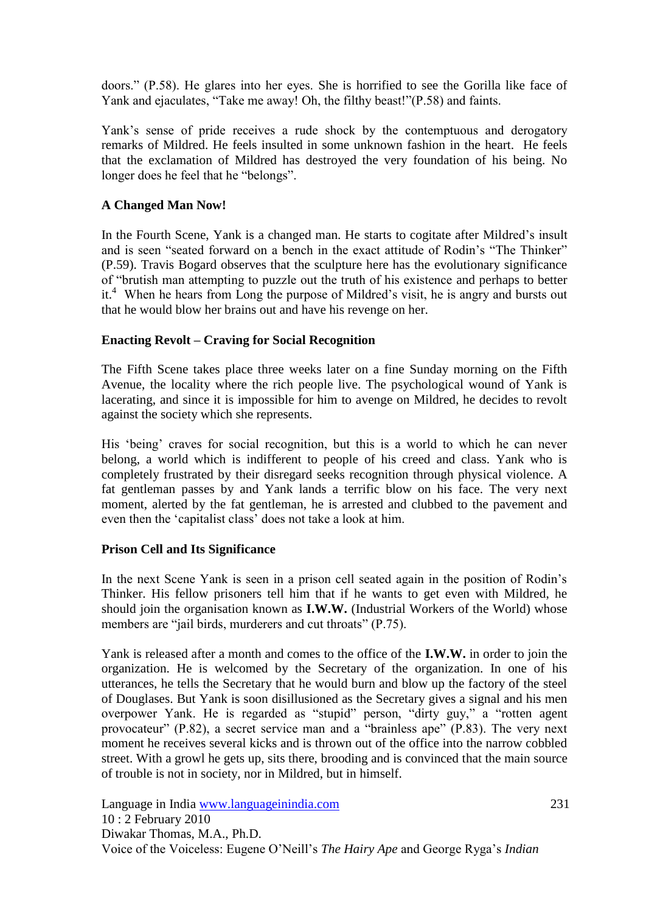doors." (P.58). He glares into her eyes. She is horrified to see the Gorilla like face of Yank and ejaculates, "Take me away! Oh, the filthy beast!"(P.58) and faints.

Yank"s sense of pride receives a rude shock by the contemptuous and derogatory remarks of Mildred. He feels insulted in some unknown fashion in the heart. He feels that the exclamation of Mildred has destroyed the very foundation of his being. No longer does he feel that he "belongs".

#### **A Changed Man Now!**

In the Fourth Scene, Yank is a changed man. He starts to cogitate after Mildred"s insult and is seen "seated forward on a bench in the exact attitude of Rodin"s "The Thinker" (P.59). Travis Bogard observes that the sculpture here has the evolutionary significance of "brutish man attempting to puzzle out the truth of his existence and perhaps to better it.<sup>4</sup> When he hears from Long the purpose of Mildred's visit, he is angry and bursts out that he would blow her brains out and have his revenge on her.

#### **Enacting Revolt – Craving for Social Recognition**

The Fifth Scene takes place three weeks later on a fine Sunday morning on the Fifth Avenue, the locality where the rich people live. The psychological wound of Yank is lacerating, and since it is impossible for him to avenge on Mildred, he decides to revolt against the society which she represents.

His "being" craves for social recognition, but this is a world to which he can never belong, a world which is indifferent to people of his creed and class. Yank who is completely frustrated by their disregard seeks recognition through physical violence. A fat gentleman passes by and Yank lands a terrific blow on his face. The very next moment, alerted by the fat gentleman, he is arrested and clubbed to the pavement and even then the "capitalist class" does not take a look at him.

#### **Prison Cell and Its Significance**

In the next Scene Yank is seen in a prison cell seated again in the position of Rodin"s Thinker. His fellow prisoners tell him that if he wants to get even with Mildred, he should join the organisation known as **I.W.W.** (Industrial Workers of the World) whose members are "jail birds, murderers and cut throats" (P.75).

Yank is released after a month and comes to the office of the **I.W.W.** in order to join the organization. He is welcomed by the Secretary of the organization. In one of his utterances, he tells the Secretary that he would burn and blow up the factory of the steel of Douglases. But Yank is soon disillusioned as the Secretary gives a signal and his men overpower Yank. He is regarded as "stupid" person, "dirty guy," a "rotten agent provocateur" (P.82), a secret service man and a "brainless ape" (P.83). The very next moment he receives several kicks and is thrown out of the office into the narrow cobbled street. With a growl he gets up, sits there, brooding and is convinced that the main source of trouble is not in society, nor in Mildred, but in himself.

Language in India www.languageinindia.com 231 10 : 2 February 2010 Diwakar Thomas, M.A., Ph.D. Voice of the Voiceless: Eugene O"Neill"s *The Hairy Ape* and George Ryga"s *Indian*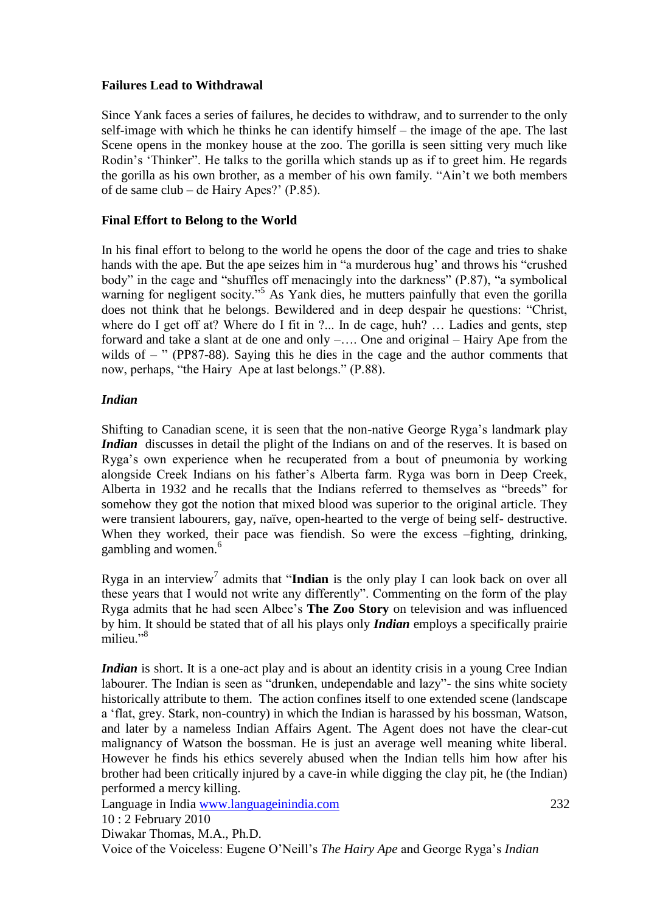#### **Failures Lead to Withdrawal**

Since Yank faces a series of failures, he decides to withdraw, and to surrender to the only self-image with which he thinks he can identify himself – the image of the ape. The last Scene opens in the monkey house at the zoo. The gorilla is seen sitting very much like Rodin's 'Thinker''. He talks to the gorilla which stands up as if to greet him. He regards the gorilla as his own brother, as a member of his own family. "Ain"t we both members of de same club – de Hairy Apes?" (P.85).

#### **Final Effort to Belong to the World**

In his final effort to belong to the world he opens the door of the cage and tries to shake hands with the ape. But the ape seizes him in "a murderous hug' and throws his "crushed" body" in the cage and "shuffles off menacingly into the darkness" (P.87), "a symbolical warning for negligent socity."<sup>5</sup> As Yank dies, he mutters painfully that even the gorilla does not think that he belongs. Bewildered and in deep despair he questions: "Christ, where do I get off at? Where do I fit in ?... In de cage, huh? ... Ladies and gents, step forward and take a slant at de one and only –…. One and original – Hairy Ape from the wilds of  $-$  " (PP87-88). Saying this he dies in the cage and the author comments that now, perhaps, "the Hairy Ape at last belongs." (P.88).

#### *Indian*

Shifting to Canadian scene, it is seen that the non-native George Ryga"s landmark play *Indian* discusses in detail the plight of the Indians on and of the reserves. It is based on Ryga"s own experience when he recuperated from a bout of pneumonia by working alongside Creek Indians on his father"s Alberta farm. Ryga was born in Deep Creek, Alberta in 1932 and he recalls that the Indians referred to themselves as "breeds" for somehow they got the notion that mixed blood was superior to the original article. They were transient labourers, gay, naïve, open-hearted to the verge of being self- destructive. When they worked, their pace was fiendish. So were the excess –fighting, drinking, gambling and women.<sup>6</sup>

Ryga in an interview<sup>7</sup> admits that "Indian is the only play I can look back on over all these years that I would not write any differently". Commenting on the form of the play Ryga admits that he had seen Albee"s **The Zoo Story** on television and was influenced by him. It should be stated that of all his plays only *Indian* employs a specifically prairie milieu<sup>"8</sup>

*Indian* is short. It is a one-act play and is about an identity crisis in a young Cree Indian labourer. The Indian is seen as "drunken, undependable and lazy"- the sins white society historically attribute to them. The action confines itself to one extended scene (landscape a "flat, grey. Stark, non-country) in which the Indian is harassed by his bossman, Watson, and later by a nameless Indian Affairs Agent. The Agent does not have the clear-cut malignancy of Watson the bossman. He is just an average well meaning white liberal. However he finds his ethics severely abused when the Indian tells him how after his brother had been critically injured by a cave-in while digging the clay pit, he (the Indian) performed a mercy killing.

Language in India www.languageinindia.com 232 10 : 2 February 2010

Diwakar Thomas, M.A., Ph.D.

Voice of the Voiceless: Eugene O"Neill"s *The Hairy Ape* and George Ryga"s *Indian*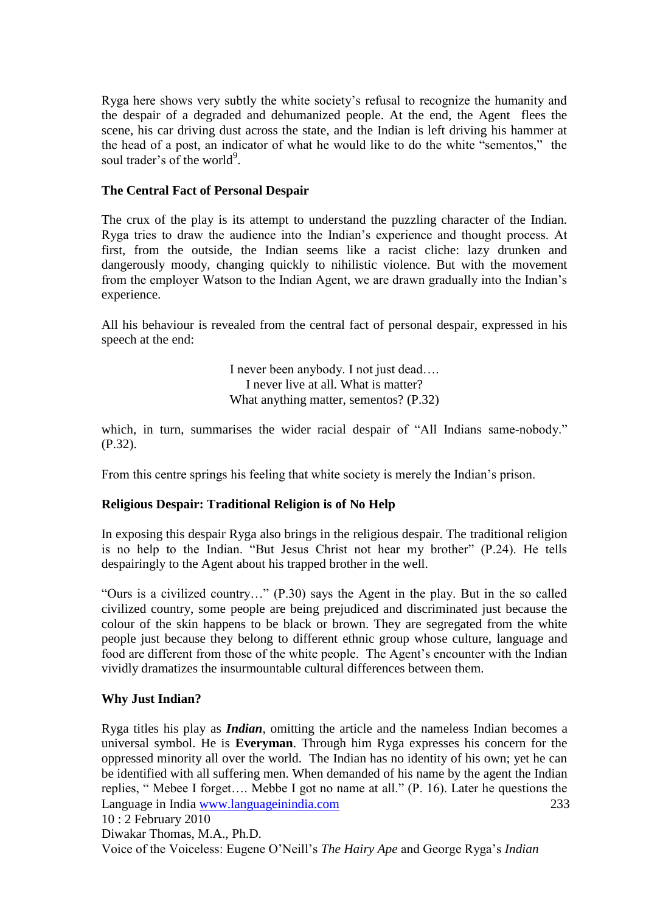Ryga here shows very subtly the white society"s refusal to recognize the humanity and the despair of a degraded and dehumanized people. At the end, the Agent flees the scene, his car driving dust across the state, and the Indian is left driving his hammer at the head of a post, an indicator of what he would like to do the white "sementos," the soul trader's of the world<sup>9</sup>.

#### **The Central Fact of Personal Despair**

The crux of the play is its attempt to understand the puzzling character of the Indian. Ryga tries to draw the audience into the Indian"s experience and thought process. At first, from the outside, the Indian seems like a racist cliche: lazy drunken and dangerously moody, changing quickly to nihilistic violence. But with the movement from the employer Watson to the Indian Agent, we are drawn gradually into the Indian"s experience.

All his behaviour is revealed from the central fact of personal despair, expressed in his speech at the end:

> I never been anybody. I not just dead…. I never live at all. What is matter? What anything matter, sementos? (P.32)

which, in turn, summarises the wider racial despair of "All Indians same-nobody." (P.32).

From this centre springs his feeling that white society is merely the Indian"s prison.

#### **Religious Despair: Traditional Religion is of No Help**

In exposing this despair Ryga also brings in the religious despair. The traditional religion is no help to the Indian. "But Jesus Christ not hear my brother" (P.24). He tells despairingly to the Agent about his trapped brother in the well.

"Ours is a civilized country…" (P.30) says the Agent in the play. But in the so called civilized country, some people are being prejudiced and discriminated just because the colour of the skin happens to be black or brown. They are segregated from the white people just because they belong to different ethnic group whose culture, language and food are different from those of the white people. The Agent's encounter with the Indian vividly dramatizes the insurmountable cultural differences between them.

#### **Why Just Indian?**

Language in India www.languageinindia.com 233 Ryga titles his play as *Indian*, omitting the article and the nameless Indian becomes a universal symbol. He is **Everyman**. Through him Ryga expresses his concern for the oppressed minority all over the world. The Indian has no identity of his own; yet he can be identified with all suffering men. When demanded of his name by the agent the Indian replies, " Mebee I forget…. Mebbe I got no name at all." (P. 16). Later he questions the

```
10 : 2 February 2010
```
Diwakar Thomas, M.A., Ph.D.

Voice of the Voiceless: Eugene O"Neill"s *The Hairy Ape* and George Ryga"s *Indian*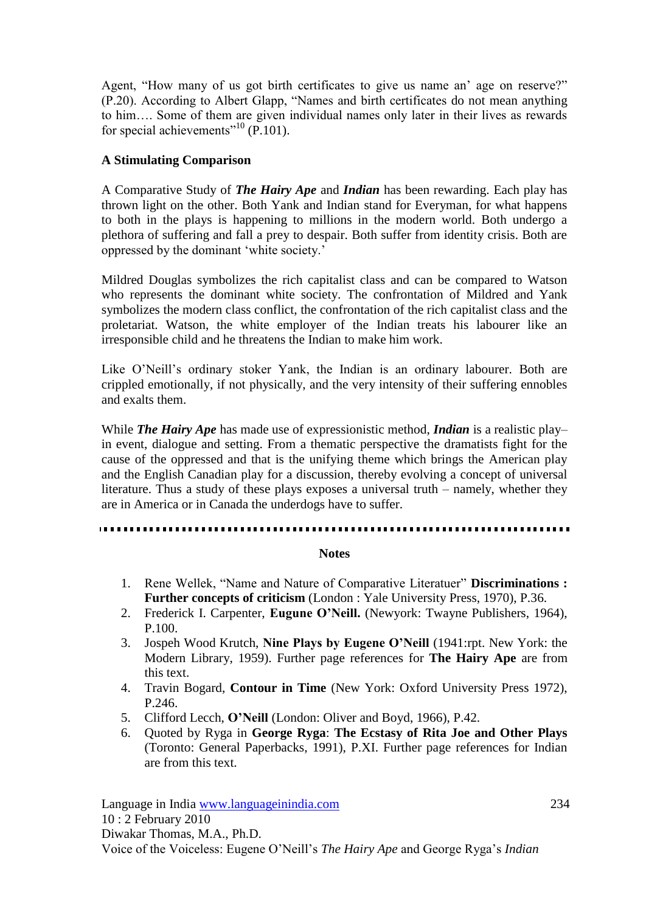Agent, "How many of us got birth certificates to give us name an' age on reserve?" (P.20). According to Albert Glapp, "Names and birth certificates do not mean anything to him…. Some of them are given individual names only later in their lives as rewards for special achievements"<sup>10</sup> (P.101).

#### **A Stimulating Comparison**

A Comparative Study of *The Hairy Ape* and *Indian* has been rewarding. Each play has thrown light on the other. Both Yank and Indian stand for Everyman, for what happens to both in the plays is happening to millions in the modern world. Both undergo a plethora of suffering and fall a prey to despair. Both suffer from identity crisis. Both are oppressed by the dominant "white society."

Mildred Douglas symbolizes the rich capitalist class and can be compared to Watson who represents the dominant white society. The confrontation of Mildred and Yank symbolizes the modern class conflict, the confrontation of the rich capitalist class and the proletariat. Watson, the white employer of the Indian treats his labourer like an irresponsible child and he threatens the Indian to make him work.

Like O'Neill's ordinary stoker Yank, the Indian is an ordinary labourer. Both are crippled emotionally, if not physically, and the very intensity of their suffering ennobles and exalts them.

While *The Hairy Ape* has made use of expressionistic method, *Indian* is a realistic play– in event, dialogue and setting. From a thematic perspective the dramatists fight for the cause of the oppressed and that is the unifying theme which brings the American play and the English Canadian play for a discussion, thereby evolving a concept of universal literature. Thus a study of these plays exposes a universal truth – namely, whether they are in America or in Canada the underdogs have to suffer.

#### **Notes**

- 1. Rene Wellek, "Name and Nature of Comparative Literatuer" **Discriminations : Further concepts of criticism** (London : Yale University Press, 1970), P.36.
- 2. Frederick I. Carpenter, **Eugune O'Neill.** (Newyork: Twayne Publishers, 1964), P.100.
- 3. Jospeh Wood Krutch, **Nine Plays by Eugene O'Neill** (1941:rpt. New York: the Modern Library, 1959). Further page references for **The Hairy Ape** are from this text.
- 4. Travin Bogard, **Contour in Time** (New York: Oxford University Press 1972), P.246.
- 5. Clifford Lecch, **O'Neill** (London: Oliver and Boyd, 1966), P.42.
- 6. Quoted by Ryga in **George Ryga**: **The Ecstasy of Rita Joe and Other Plays** (Toronto: General Paperbacks, 1991), P.XI. Further page references for Indian are from this text.

Language in India www.languageinindia.com 234 10 : 2 February 2010 Diwakar Thomas, M.A., Ph.D. Voice of the Voiceless: Eugene O"Neill"s *The Hairy Ape* and George Ryga"s *Indian*